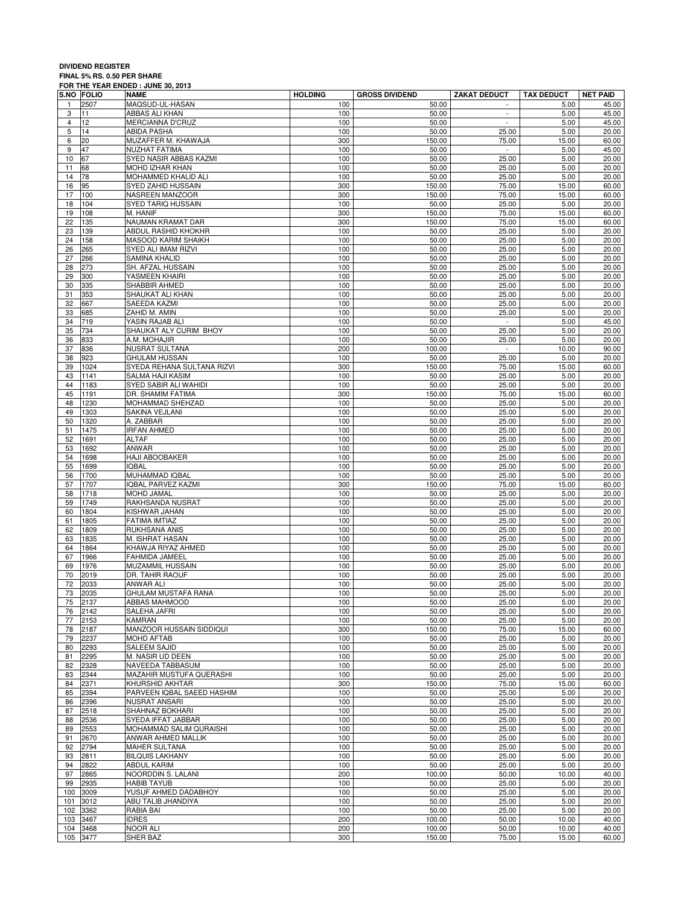## **DIVIDEND REGISTER FINAL 5% RS. 0.50 PER SHARE FOR THE YEAR ENDED : JUNE 30, 2013**

|                | <b>S.NO FOLIO</b> | NAME                                          | <b>HOLDING</b> | <b>GROSS DIVIDEND</b> | <b>ZAKAT DEDUCT</b>         | <b>TAX DEDUCT</b> | <b>NET PAID</b> |
|----------------|-------------------|-----------------------------------------------|----------------|-----------------------|-----------------------------|-------------------|-----------------|
| 1              | 2507              | MAQSUD-UL-HASAN                               | 100            | 50.00                 | $\overline{\phantom{a}}$    | 5.00              | 45.00           |
| 3              | 11                | ABBAS ALI KHAN                                | 100            | 50.00                 | $\overline{\phantom{a}}$    | 5.00              | 45.00           |
| $\overline{4}$ | 12                | MERCIANNA D'CRUZ                              | 100            | 50.00                 | $\omega$                    | 5.00              | 45.00           |
| 5              | 14                | ABIDA PASHA                                   | 100            | 50.00                 | 25.00                       | 5.00              | 20.00           |
| 6              | 20                | MUZAFFER M. KHAWAJA                           | 300            | 150.00                | 75.00                       | 15.00             | 60.00           |
| 9              | 47                | NUZHAT FATIMA                                 | 100            | 50.00                 | $\omega$                    | 5.00              | 45.00           |
| 10<br>11       | 67<br>68          | SYED NASIR ABBAS KAZMI<br>MOHD IZHAR KHAN     | 100<br>100     | 50.00<br>50.00        | 25.00<br>25.00              | 5.00<br>5.00      | 20.00<br>20.00  |
| 14             | 78                | MOHAMMED KHALID ALI                           | 100            | 50.00                 | 25.00                       | 5.00              | 20.00           |
| 16             | 95                | SYED ZAHID HUSSAIN                            | 300            | 150.00                | 75.00                       | 15.00             | 60.00           |
| 17             | 100               | NASREEN MANZOOR                               | 300            | 150.00                | 75.00                       | 15.00             | 60.00           |
| 18             | 104               | SYED TARIQ HUSSAIN                            | 100            | 50.00                 | 25.00                       | 5.00              | 20.00           |
| 19             | 108               | M. HANIF                                      | 300            | 150.00                | 75.00                       | 15.00             | 60.00           |
| 22             | 135               | NAUMAN KRAMAT DAR                             | 300            | 150.00                | 75.00                       | 15.00             | 60.00           |
| 23             | 139               | ABDUL RASHID KHOKHR                           | 100            | 50.00                 | 25.00                       | 5.00              | 20.00           |
| 24             | 158               | <b>MASOOD KARIM SHAIKH</b>                    | 100            | 50.00                 | 25.00                       | 5.00              | 20.00           |
| 26             | 265               | SYED ALI IMAM RIZVI                           | 100            | 50.00                 | 25.00                       | 5.00              | 20.00           |
| 27             | 266               | SAMINA KHALID                                 | 100            | 50.00                 | 25.00                       | 5.00              | 20.00           |
| 28             | 273               | SH. AFZAL HUSSAIN                             | 100            | 50.00                 | 25.00                       | 5.00              | 20.00           |
| 29             | 300               | YASMEEN KHAIRI                                | 100            | 50.00                 | 25.00                       | 5.00              | 20.00           |
| 30             | 335               | SHABBIR AHMED                                 | 100            | 50.00                 | 25.00                       | 5.00              | 20.00           |
| 31             | 353               | SHAUKAT ALI KHAN                              | 100            | 50.00                 | 25.00                       | 5.00              | 20.00           |
| 32             | 667               | SAEEDA KAZMI                                  | 100            | 50.00                 | 25.00                       | 5.00              | 20.00           |
| 33             | 685               | ZAHID M. AMIN                                 | 100            | 50.00                 | 25.00                       | 5.00              | 20.00           |
| 34             | 719               | YASIN RAJAB ALI                               | 100            | 50.00                 | $\mathcal{L}_{\mathcal{A}}$ | 5.00              | 45.00           |
| 35<br>36       | 734<br>833        | SHAUKAT ALY CURIM BHOY<br>A.M. MOHAJIR        | 100<br>100     | 50.00<br>50.00        | 25.00<br>25.00              | 5.00<br>5.00      | 20.00<br>20.00  |
| 37             | 836               | NUSRAT SULTANA                                | 200            | 100.00                | $\sim$                      | 10.00             | 90.00           |
| 38             | 923               | GHULAM HUSSAN                                 | 100            | 50.00                 | 25.00                       | 5.00              | 20.00           |
| 39             | 1024              | SYEDA REHANA SULTANA RIZVI                    | 300            | 150.00                | 75.00                       | 15.00             | 60.00           |
| 43             | 1141              | <b>SALMA HAJI KASIM</b>                       | 100            | 50.00                 | 25.00                       | 5.00              | 20.00           |
| 44             | 1183              | SYED SABIR ALI WAHIDI                         | 100            | 50.00                 | 25.00                       | 5.00              | 20.00           |
| 45             | 1191              | DR. SHAMIM FATIMA                             | 300            | 150.00                | 75.00                       | 15.00             | 60.00           |
| 48             | 1230              | MOHAMMAD SHEHZAD                              | 100            | 50.00                 | 25.00                       | 5.00              | 20.00           |
| 49             | 1303              | SAKINA VEJLANI                                | 100            | 50.00                 | 25.00                       | 5.00              | 20.00           |
| 50             | 1320              | A. ZABBAR                                     | 100            | 50.00                 | 25.00                       | 5.00              | 20.00           |
| 51             | 1475              | <b>IRFAN AHMED</b>                            | 100            | 50.00                 | 25.00                       | 5.00              | 20.00           |
| 52             | 1691              | <b>ALTAF</b>                                  | 100            | 50.00                 | 25.00                       | 5.00              | 20.00           |
| 53             | 1692              | ANWAR                                         | 100            | 50.00                 | 25.00                       | 5.00              | 20.00           |
| 54             | 1698              | HAJI ABOOBAKER                                | 100            | 50.00                 | 25.00                       | 5.00              | 20.00           |
| 55             | 1699              | <b>IQBAL</b>                                  | 100            | 50.00                 | 25.00                       | 5.00              | 20.00           |
| 56             | 1700              | MUHAMMAD IQBAL                                | 100            | 50.00                 | 25.00                       | 5.00              | 20.00           |
| 57             | 1707              | IQBAL PARVEZ KAZMI                            | 300            | 150.00                | 75.00                       | 15.00             | 60.00           |
| 58<br>59       | 1718<br>1749      | MOHD JAMAL                                    | 100<br>100     | 50.00<br>50.00        | 25.00                       | 5.00<br>5.00      | 20.00           |
| 60             | 1804              | RAKHSANDA NUSRAT<br>KISHWAR JAHAN             | 100            | 50.00                 | 25.00<br>25.00              | 5.00              | 20.00<br>20.00  |
| 61             | 1805              | FATIMA IMTIAZ                                 | 100            | 50.00                 | 25.00                       | 5.00              | 20.00           |
| 62             | 1809              | RUKHSANA ANIS                                 | 100            | 50.00                 | 25.00                       | 5.00              | 20.00           |
| 63             | 1835              | M. ISHRAT HASAN                               | 100            | 50.00                 | 25.00                       | 5.00              | 20.00           |
| 64             | 1864              | KHAWJA RIYAZ AHMED                            | 100            | 50.00                 | 25.00                       | 5.00              | 20.00           |
| 67             | 1966              | FAHMIDA JAMEEL                                | 100            | 50.00                 | 25.00                       | 5.00              | 20.00           |
| 69             | 1976              | MUZAMMIL HUSSAIN                              | 100            | 50.00                 | 25.00                       | 5.00              | 20.00           |
| 70             | 2019              | DR. TAHIR RAOUF                               | 100            | 50.00                 | 25.00                       | 5.00              | 20.00           |
| 72             | 2033              | ANWAR ALI                                     | 100            | 50.00                 | 25.00                       | 5.00              | 20.00           |
| 73             | 2035              | GHULAM MUSTAFA RANA                           | 100            | 50.00                 | 25.00                       | 5.00              | 20.00           |
| 75             | 2137              | ABBAS MAHMOOD                                 | 100            | 50.00                 | 25.00                       | 5.00              | 20.00           |
| 76             | 2142              | SALEHA JAFRI                                  | 100            | 50.00                 | 25.00                       | 5.00              | 20.00           |
| 77             | 2153              | <b>KAMRAN</b>                                 | 100            | 50.00                 | 25.00                       | 5.00              | 20.00           |
| 78             | 2187              | MANZOOR HUSSAIN SIDDIQUI                      | 300            | 150.00                | 75.00                       | 15.00             | 60.00           |
| 79             | 2237              | MOHD AFTAB                                    | 100            | 50.00                 | 25.00                       | 5.00              | 20.00           |
| 80             | 2293              | SALEEM SAJID                                  | 100            | 50.00                 | 25.00                       | 5.00              | 20.00           |
| 81             | 2295              | M. NASIR UD DEEN                              | 100            | 50.00                 | 25.00                       | 5.00              | 20.00           |
| 82<br>83       | 2328              | NAVEEDA TABBASUM                              | 100<br>100     | 50.00                 | 25.00                       | 5.00              | 20.00           |
|                | 2344              | MAZAHIR MUSTUFA QUERASHI                      |                | 50.00                 | 25.00                       | 5.00              | 20.00           |
| 84<br>85       | 2371<br>2394      | KHURSHID AKHTAR<br>PARVEEN IQBAL SAEED HASHIM | 300<br>100     | 150.00<br>50.00       | 75.00<br>25.00              | 15.00<br>5.00     | 60.00<br>20.00  |
| 86             | 2396              | NUSRAT ANSARI                                 | 100            | 50.00                 | 25.00                       | 5.00              | 20.00           |
| 87             | 2518              | SHAHNAZ BOKHARI                               | 100            | 50.00                 | 25.00                       | 5.00              | 20.00           |
| 88             | 2536              | SYEDA IFFAT JABBAR                            | 100            | 50.00                 | 25.00                       | 5.00              | 20.00           |
| 89             | 2553              | MOHAMMAD SALIM QURAISHI                       | 100            | 50.00                 | 25.00                       | 5.00              | 20.00           |
| 91             | 2670              | <b>ANWAR AHMED MALLIK</b>                     | 100            | 50.00                 | 25.00                       | 5.00              | 20.00           |
| 92             | 2794              | MAHER SULTANA                                 | 100            | 50.00                 | 25.00                       | 5.00              | 20.00           |
| 93             | 2811              | <b>BILQUIS LAKHANY</b>                        | 100            | 50.00                 | 25.00                       | 5.00              | 20.00           |
| 94             | 2822              | <b>ABDUL KARIM</b>                            | 100            | 50.00                 | 25.00                       | 5.00              | 20.00           |
| 97             | 2865              | NOORDDIN S. LALANI                            | 200            | 100.00                | 50.00                       | 10.00             | 40.00           |
| 99             | 2935              | <b>HABIB TAYUB</b>                            | 100            | 50.00                 | 25.00                       | 5.00              | 20.00           |
| 100            | 3009              | YUSUF AHMED DADABHOY                          | 100            | 50.00                 | 25.00                       | 5.00              | 20.00           |
| 101            | 3012              | ABU TALIB JHANDIYA                            | 100            | 50.00                 | 25.00                       | 5.00              | 20.00           |
| 102            | 3362              | RABIA BAI                                     | 100            | 50.00                 | 25.00                       | 5.00              | 20.00           |
| 103            | 3467              | <b>IDRES</b>                                  | 200            | 100.00                | 50.00                       | 10.00             | 40.00           |
| 104            | 3468              | NOOR ALI                                      | 200            | 100.00                | 50.00                       | 10.00             | 40.00           |
|                | 105 3477          | SHER BAZ                                      | 300            | 150.00                | 75.00                       | 15.00             | 60.00           |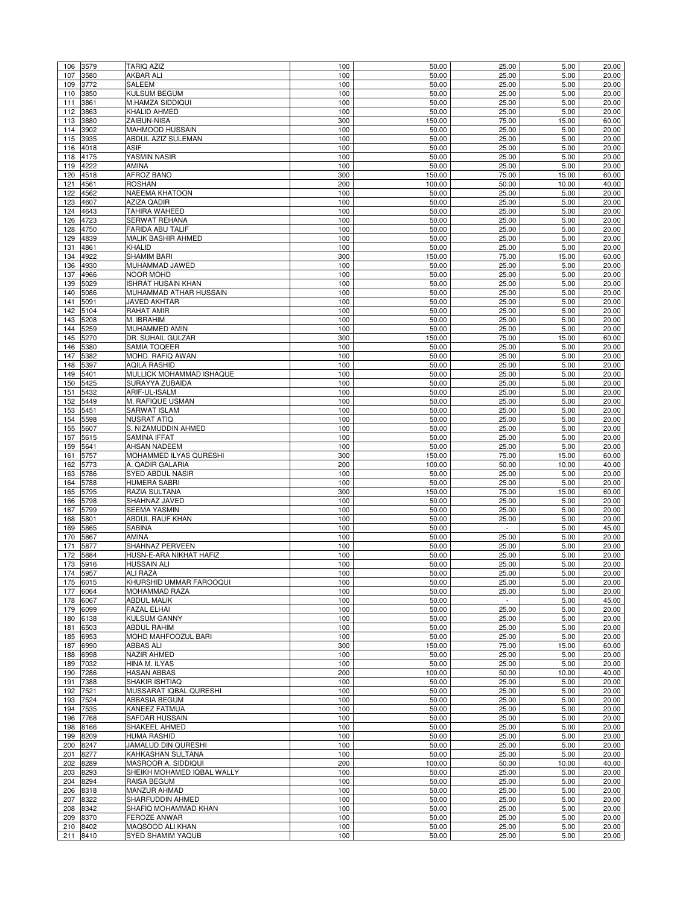| 106        | 3579         | <b>TARIQ AZIZ</b>                       | 100        | 50.00          | 25.00                   | 5.00         | 20.00          |
|------------|--------------|-----------------------------------------|------------|----------------|-------------------------|--------------|----------------|
| 107        | 3580         | <b>AKBAR ALI</b>                        | 100        | 50.00          | 25.00                   | 5.00         | 20.00          |
| 109        | 3772         | SALEEM                                  | 100        | 50.00          | 25.00                   | 5.00         | 20.00          |
| 110        | 3850         | <b>KULSUM BEGUM</b>                     | 100        | 50.00          | 25.00                   | 5.00         | 20.00          |
| 111        | 3861         | M.HAMZA SIDDIQUI                        | 100        | 50.00          | 25.00                   | 5.00         | 20.00          |
| 112        | 3863         | KHALID AHMED                            | 100        | 50.00          | 25.00                   | 5.00         | 20.00          |
| 113        | 3880         | ZAIBUN-NISA                             | 300        | 150.00         | 75.00                   | 15.00        | 60.00          |
| 114        | 3902         | MAHMOOD HUSSAIN                         | 100        | 50.00          | 25.00                   | 5.00         | 20.00          |
| 115        | 3935         | ABDUL AZIZ SULEMAN                      | 100        | 50.00          | 25.00                   | 5.00         | 20.00          |
| 116        | 4018         | <b>ASIF</b>                             | 100        | 50.00          | 25.00                   | 5.00         | 20.00          |
| 118<br>119 | 4175<br>4222 | YASMIN NASIR<br>AMINA                   | 100<br>100 | 50.00<br>50.00 | 25.00<br>25.00          | 5.00<br>5.00 | 20.00<br>20.00 |
| 120        | 4518         | AFROZ BANO                              | 300        | 150.00         | 75.00                   | 15.00        | 60.00          |
| 121        | 4561         | <b>ROSHAN</b>                           | 200        | 100.00         | 50.00                   | 10.00        | 40.00          |
| 122        | 4562         | NAEEMA KHATOON                          | 100        | 50.00          | 25.00                   | 5.00         | 20.00          |
| 123        | 4607         | <b>AZIZA QADIR</b>                      | 100        | 50.00          | 25.00                   | 5.00         | 20.00          |
| 124        | 4643         | TAHIRA WAHEED                           | 100        | 50.00          | 25.00                   | 5.00         | 20.00          |
| 126        | 4723         | SERWAT REHANA                           | 100        | 50.00          | 25.00                   | 5.00         | 20.00          |
| 128        | 4750         | FARIDA ABU TALIF                        | 100        | 50.00          | 25.00                   | 5.00         | 20.00          |
| 129        | 4839         | MALIK BASHIR AHMED                      | 100        | 50.00          | 25.00                   | 5.00         | 20.00          |
| 131        | 4861         | <b>KHALID</b>                           | 100        | 50.00          | 25.00                   | 5.00         | 20.00          |
| 134        | 4922         | SHAMIM BARI                             | 300        | 150.00         | 75.00                   | 15.00        | 60.00          |
| 136        | 4930         | MUHAMMAD JAWED                          | 100        | 50.00          | 25.00                   | 5.00         | 20.00          |
| 137        | 4966         | <b>NOOR MOHD</b>                        | 100        | 50.00          | 25.00                   | 5.00         | 20.00          |
| 139        | 5029         | <b>ISHRAT HUSAIN KHAN</b>               | 100        | 50.00          | 25.00                   | 5.00         | 20.00          |
| 140        | 5086         | MUHAMMAD ATHAR HUSSAIN                  | 100        | 50.00          | 25.00                   | 5.00         | 20.00          |
| 141        | 5091         | JAVED AKHTAR                            | 100        | 50.00          | 25.00                   | 5.00         | 20.00          |
| 142        | 5104         | RAHAT AMIR                              | 100        | 50.00          | 25.00                   | 5.00         | 20.00          |
| 143        | 5208         | M. IBRAHIM                              | 100        | 50.00          | 25.00                   | 5.00         | 20.00          |
| 144        | 5259         | MUHAMMED AMIN                           | 100        | 50.00          | 25.00                   | 5.00         | 20.00          |
| 145        | 5270         | DR. SUHAIL GULZAR                       | 300        | 150.00         | 75.00                   | 15.00        | 60.00          |
| 146<br>147 | 5380<br>5382 | SAMIA TOQEER<br>MOHD. RAFIQ AWAN        | 100<br>100 | 50.00<br>50.00 | 25.00<br>25.00          | 5.00<br>5.00 | 20.00<br>20.00 |
| 148        | 5397         | <b>AQILA RASHID</b>                     | 100        | 50.00          | 25.00                   | 5.00         | 20.00          |
| 149        | 5401         | MULLICK MOHAMMAD ISHAQUE                | 100        | 50.00          | 25.00                   | 5.00         | 20.00          |
| 150        | 5425         | SURAYYA ZUBAIDA                         | 100        | 50.00          | 25.00                   | 5.00         | 20.00          |
| 151        | 5432         | ARIF-UL-ISALM                           | 100        | 50.00          | 25.00                   | 5.00         | 20.00          |
| 152        | 5449         | M. RAFIQUE USMAN                        | 100        | 50.00          | 25.00                   | 5.00         | 20.00          |
| 153        | 5451         | SARWAT ISLAM                            | 100        | 50.00          | 25.00                   | 5.00         | 20.00          |
| 154        | 5598         | <b>NUSRAT ATIQ</b>                      | 100        | 50.00          | 25.00                   | 5.00         | 20.00          |
| 155        | 5607         | S. NIZAMUDDIN AHMED                     | 100        | 50.00          | 25.00                   | 5.00         | 20.00          |
| 157        | 5615         | SAMINA IFFAT                            | 100        | 50.00          | 25.00                   | 5.00         | 20.00          |
| 159        | 5641         | AHSAN NADEEM                            | 100        | 50.00          | 25.00                   | 5.00         | 20.00          |
| 161        | 5757         | MOHAMMED ILYAS QURESHI                  | 300        | 150.00         | 75.00                   | 15.00        | 60.00          |
| 162        | 5773         | A. QADIR GALARIA                        | 200        | 100.00         | 50.00                   | 10.00        | 40.00          |
| 163        | 5786         | SYED ABDUL NASIR                        | 100        | 50.00          | 25.00                   | 5.00         | 20.00          |
| 164        | 5788         | <b>HUMERA SABRI</b>                     | 100        | 50.00          | 25.00                   | 5.00         | 20.00          |
| 165        | 5795         | RAZIA SULTANA                           | 300        | 150.00         | 75.00                   | 15.00        | 60.00          |
| 166        | 5798         | SHAHNAZ JAVED                           | 100        | 50.00          | 25.00                   | 5.00         | 20.00          |
| 167        | 5799         | <b>SEEMA YASMIN</b>                     | 100        | 50.00          | 25.00                   | 5.00         | 20.00          |
| 168        | 5801         | ABDUL RAUF KHAN<br>SABINA               | 100        | 50.00          | 25.00                   | 5.00         | 20.00          |
| 169<br>170 | 5865<br>5867 | AMINA                                   | 100<br>100 | 50.00<br>50.00 | $\blacksquare$<br>25.00 | 5.00<br>5.00 | 45.00<br>20.00 |
| 171        | 5877         | SHAHNAZ PERVEEN                         | 100        | 50.00          | 25.00                   | 5.00         | 20.00          |
| 172        | 5884         | HUSN-E-ARA NIKHAT HAFIZ                 | 100        | 50.00          | 25.00                   | 5.00         | 20.00          |
| 173        | 5916         | <b>HUSSAIN ALI</b>                      | 100        | 50.00          | 25.00                   | 5.00         | 20.00          |
| 174        | 5957         | <b>ALI RAZA</b>                         | 100        | 50.00          | 25.00                   | 5.00         | 20.00          |
|            | 175 6015     | KHURSHID UMMAR FAROOQUI                 | 100        | 50.00          | 25.00                   | 5.00         | 20.00          |
| 177        | 6064         | MOHAMMAD RAZA                           | 100        | 50.00          | 25.00                   | 5.00         | 20.00          |
| 178        | 6067         | <b>ABDUL MALIK</b>                      | 100        | 50.00          | $\sim$                  | 5.00         | 45.00          |
|            | 179 6099     | FAZAL ELHAI                             | 100        | 50.00          | 25.00                   | 5.00         | 20.00          |
| 180        | 6138         | <b>KULSUM GANNY</b>                     | 100        | 50.00          | 25.00                   | 5.00         | 20.00          |
| 181        | 6503         | <b>ABDUL RAHIM</b>                      | 100        | 50.00          | 25.00                   | 5.00         | 20.00          |
| 185        | 6953         | MOHD MAHFOOZUL BARI                     | 100        | 50.00          | 25.00                   | 5.00         | 20.00          |
| 187        | 6990         | ABBAS ALI                               | 300        | 150.00         | 75.00                   | 15.00        | 60.00          |
| 188        | 6998         | NAZIR AHMED                             | 100        | 50.00          | 25.00                   | 5.00         | 20.00          |
| 189        | 7032         | HINA M. ILYAS                           | 100        | 50.00          | 25.00                   | 5.00         | 20.00          |
| 190        | 7286         | <b>HASAN ABBAS</b>                      | 200        | 100.00         | 50.00                   | 10.00        | 40.00          |
| 191        | 7388<br>7521 | SHAKIR ISHTIAQ                          | 100<br>100 | 50.00<br>50.00 | 25.00<br>25.00          | 5.00<br>5.00 | 20.00<br>20.00 |
| 192<br>193 | 7524         | MUSSARAT IQBAL QURESHI<br>ABBASIA BEGUM | 100        | 50.00          | 25.00                   | 5.00         | 20.00          |
| 194        | 7535         | KANEEZ FATMUA                           | 100        | 50.00          | 25.00                   | 5.00         | 20.00          |
| 196        | 7768         | SAFDAR HUSSAIN                          | 100        | 50.00          | 25.00                   | 5.00         | 20.00          |
| 198        | 8166         | SHAKEEL AHMED                           | 100        | 50.00          | 25.00                   | 5.00         | 20.00          |
|            | 199 8209     | <b>HUMA RASHID</b>                      | 100        | 50.00          | 25.00                   | 5.00         | 20.00          |
| 200        | 8247         | JAMALUD DIN QURESHI                     | 100        | 50.00          | 25.00                   | 5.00         | 20.00          |
| 201        | 8277         | KAHKASHAN SULTANA                       | 100        | 50.00          | 25.00                   | 5.00         | 20.00          |
| 202 8289   |              | MASROOR A. SIDDIQUI                     | 200        | 100.00         | 50.00                   | 10.00        | 40.00          |
| 203        |              | SHEIKH MOHAMED IQBAL WALLY              | 100        | 50.00          | 25.00                   | 5.00         | 20.00          |
|            | 8293         |                                         |            |                |                         |              |                |
| 204        | 8294         | RAISA BEGUM                             | 100        | 50.00          | 25.00                   | 5.00         | 20.00          |
| 206        | 8318         | <b>MANZUR AHMAD</b>                     | 100        | 50.00          | 25.00                   | 5.00         | 20.00          |
| 207        | 8322         | SHARFUDDIN AHMED                        | 100        | 50.00          | 25.00                   | 5.00         | 20.00          |
| 208        | 8342         | SHAFIQ MOHAMMAD KHAN                    | 100        | 50.00          | 25.00                   | 5.00         | 20.00          |
| 209        | 8370         | FEROZE ANWAR                            | 100        | 50.00          | 25.00                   | 5.00         | 20.00          |
| 210<br>211 | 8402<br>8410 | MAQSOOD ALI KHAN<br>SYED SHAMIM YAQUB   | 100<br>100 | 50.00<br>50.00 | 25.00<br>25.00          | 5.00<br>5.00 | 20.00<br>20.00 |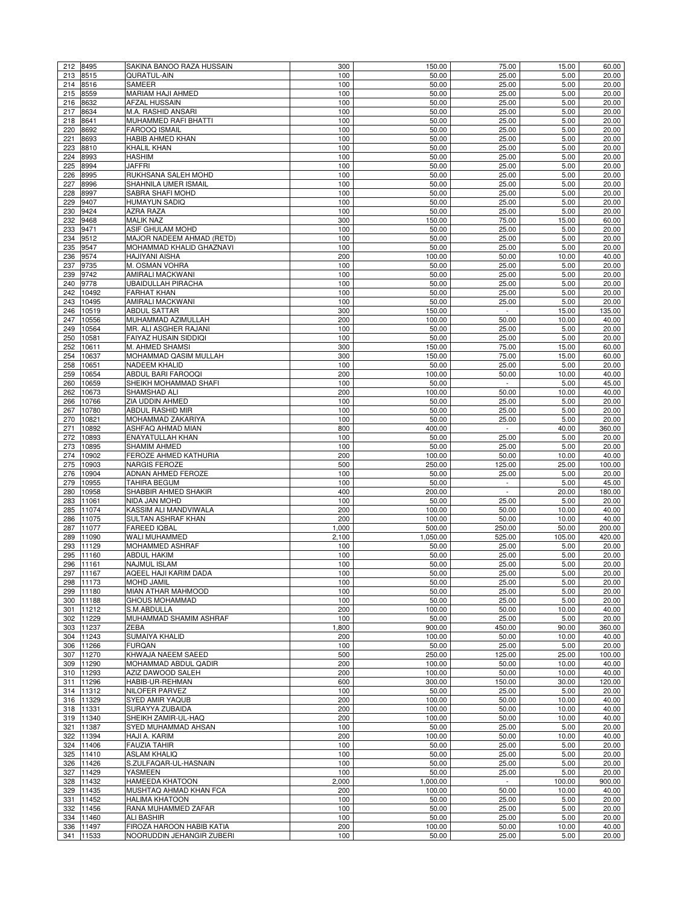|            | 212 8495           | SAKINA BANOO RAZA HUSSAIN                              | 300          | 150.00           | 75.00           | 15.00          | 60.00           |
|------------|--------------------|--------------------------------------------------------|--------------|------------------|-----------------|----------------|-----------------|
| 213        | 8515               | QURATUL-AIN                                            | 100          | 50.00            | 25.00           | 5.00           | 20.00           |
| 214        | 8516               | SAMEER                                                 | 100          | 50.00            | 25.00           | 5.00           | 20.00           |
| 215        | 8559               | <b>MARIAM HAJI AHMED</b>                               | 100          | 50.00            | 25.00           | 5.00           | 20.00           |
| 216        | 8632               | <b>AFZAL HUSSAIN</b>                                   | 100          | 50.00            | 25.00           | 5.00           | 20.00           |
| 217        | 8634               | M.A. RASHID ANSARI                                     | 100          | 50.00            | 25.00           | 5.00           | 20.00           |
| 218        | 8641               | MUHAMMED RAFI BHATTI                                   | 100          | 50.00            | 25.00           | 5.00           | 20.00           |
| 220        | 8692               | FAROOQ ISMAIL                                          | 100          | 50.00            | 25.00           | 5.00           | 20.00           |
| 221        | 8693               | HABIB AHMED KHAN                                       | 100          | 50.00            | 25.00           | 5.00           | 20.00           |
| 223        | 8810               | KHALIL KHAN                                            | 100          | 50.00            | 25.00           | 5.00           | 20.00           |
| 224<br>225 | 8993<br>8994       | <b>HASHIM</b><br><b>JAFFRI</b>                         | 100<br>100   | 50.00<br>50.00   | 25.00<br>25.00  | 5.00<br>5.00   | 20.00<br>20.00  |
| 226        | 8995               | RUKHSANA SALEH MOHD                                    | 100          | 50.00            | 25.00           | 5.00           | 20.00           |
| 227        | 8996               | SHAHNILA UMER ISMAIL                                   | 100          | 50.00            | 25.00           | 5.00           | 20.00           |
| 228        | 8997               | SABRA SHAFI MOHD                                       | 100          | 50.00            | 25.00           | 5.00           | 20.00           |
| 229        | 9407               | <b>HUMAYUN SADIQ</b>                                   | 100          | 50.00            | 25.00           | 5.00           | 20.00           |
| 230        | 9424               | AZRA RAZA                                              | 100          | 50.00            | 25.00           | 5.00           | 20.00           |
| 232        | 9468               | <b>MALIK NAZ</b>                                       | 300          | 150.00           | 75.00           | 15.00          | 60.00           |
| 233        | 9471               | ASIF GHULAM MOHD                                       | 100          | 50.00            | 25.00           | 5.00           | 20.00           |
| 234        | 9512               | MAJOR NADEEM AHMAD (RETD)                              | 100          | 50.00            | 25.00           | 5.00           | 20.00           |
| 235        | 9547               | MOHAMMAD KHALID GHAZNAVI                               | 100          | 50.00            | 25.00           | 5.00           | 20.00           |
| 236        | 9574               | <b>HAJIYANI AISHA</b>                                  | 200          | 100.00           | 50.00           | 10.00          | 40.00           |
| 237        | 9735               | M. OSMAN VOHRA                                         | 100          | 50.00            | 25.00           | 5.00           | 20.00           |
| 239        | 9742               | AMIRALI MACKWANI                                       | 100          | 50.00            | 25.00           | 5.00           | 20.00           |
| 240        | 9778               | UBAIDULLAH PIRACHA                                     | 100          | 50.00            | 25.00           | 5.00           | 20.00           |
| 242        | 10492              | <b>FARHAT KHAN</b>                                     | 100          | 50.00            | 25.00           | 5.00           | 20.00           |
| 243        | 10495              | AMIRALI MACKWANI                                       | 100          | 50.00            | 25.00           | 5.00           | 20.00           |
| 246        | 10519              | ABDUL SATTAR                                           | 300          | 150.00           | $\sim$          | 15.00          | 135.00          |
| 247        | 10556              | MUHAMMAD AZIMULLAH                                     | 200          | 100.00           | 50.00           | 10.00          | 40.00           |
| 249        | 10564              | MR. ALI ASGHER RAJANI                                  | 100          | 50.00            | 25.00           | 5.00           | 20.00           |
| 250<br>252 | 10581<br>10611     | FAIYAZ HUSAIN SIDDIQI<br>M. AHMED SHAMSI               | 100<br>300   | 50.00<br>150.00  | 25.00<br>75.00  | 5.00<br>15.00  | 20.00<br>60.00  |
| 254        | 10637              | MOHAMMAD QASIM MULLAH                                  | 300          | 150.00           | 75.00           | 15.00          | 60.00           |
| 258        | 10651              | <b>NADEEM KHALID</b>                                   | 100          | 50.00            | 25.00           | 5.00           | 20.00           |
| 259        | 10654              | ABDUL BARI FAROOQI                                     | 200          | 100.00           | 50.00           | 10.00          | 40.00           |
| 260        | 10659              | SHEIKH MOHAMMAD SHAFI                                  | 100          | 50.00            | $\sim$          | 5.00           | 45.00           |
| 262        | 10673              | SHAMSHAD ALI                                           | 200          | 100.00           | 50.00           | 10.00          | 40.00           |
| 266        | 10766              | ZIA UDDIN AHMED                                        | 100          | 50.00            | 25.00           | 5.00           | 20.00           |
| 267        | 10780              | ABDUL RASHID MIR                                       | 100          | 50.00            | 25.00           | 5.00           | 20.00           |
| 270        | 10821              | MOHAMMAD ZAKARIYA                                      | 100          | 50.00            | 25.00           | 5.00           | 20.00           |
| 271        | 10892              | ASHFAQ AHMAD MIAN                                      | 800          | 400.00           | $\blacksquare$  | 40.00          | 360.00          |
| 272        | 10893              | ENAYATULLAH KHAN                                       | 100          | 50.00            | 25.00           | 5.00           | 20.00           |
| 273        | 10895              | SHAMIM AHMED                                           | 100          | 50.00            | 25.00           | 5.00           | 20.00           |
| 274        | 10902              | FEROZE AHMED KATHURIA                                  | 200          | 100.00           | 50.00           | 10.00          | 40.00           |
| 275        | 10903              | <b>NARGIS FEROZE</b>                                   | 500          | 250.00           | 125.00          | 25.00          | 100.00          |
| 276        | 10904              | ADNAN AHMED FEROZE                                     | 100          | 50.00            | 25.00           | 5.00           | 20.00           |
| 279        | 10955              | TAHIRA BEGUM                                           | 100          | 50.00            | $\sim$          | 5.00           | 45.00           |
| 280        | 10958              | SHABBIR AHMED SHAKIR                                   | 400          | 200.00           |                 | 20.00          | 180.00          |
| 283        | 11061              | NIDA JAN MOHD                                          | 100          | 50.00            | 25.00           | 5.00           | 20.00           |
| 285        | 11074              | KASSIM ALI MANDVIWALA                                  | 200          | 100.00           | 50.00           | 10.00          | 40.00           |
| 286<br>287 | 11075<br>11077     | SULTAN ASHRAF KHAN<br><b>FAREED IQBAL</b>              | 200<br>1,000 | 100.00<br>500.00 | 50.00<br>250.00 | 10.00<br>50.00 | 40.00<br>200.00 |
| 289        | 11090              | WALI MUHAMMED                                          | 2,100        | 1.050.00         | 525.00          | 105.00         | 420.00          |
| 293        | 11129              | MOHAMMED ASHRAF                                        | 100          | 50.00            | 25.00           | 5.00           | 20.00           |
| 295        | 11160              | <b>ABDUL HAKIM</b>                                     | 100          | 50.00            | 25.00           | 5.00           | 20.00           |
| 296        | 11161              | <b>NAJMUL ISLAM</b>                                    | 100          | 50.00            | 25.00           | 5.00           | 20.00           |
|            | 297 11167          | AQEEL HAJI KARIM DADA                                  | 100          | 50.00            | 25.00           | 5.00           | 20.00           |
|            | 298 11173          | <b>MOHD JAMIL</b>                                      | 100          | 50.00            | 25.00           | 5.00           | 20.00           |
| 299        | 11180              | MIAN ATHAR MAHMOOD                                     | 100          | 50.00            | 25.00           | 5.00           | 20.00           |
| 300        | 11188              | <b>GHOUS MOHAMMAD</b>                                  | 100          | 50.00            | 25.00           | 5.00           | 20.00           |
|            | 301 11212          | S.M.ABDULLA                                            | 200          | 100.00           | 50.00           | 10.00          | 40.00           |
| 302        | 11229              | MUHAMMAD SHAMIM ASHRAF                                 | 100          | 50.00            | 25.00           | 5.00           | 20.00           |
| 303        | 11237              | ZEBA                                                   | 1,800        | 900.00           | 450.00          | 90.00          | 360.00          |
|            | 304 11243          | SUMAIYA KHALID                                         | 200          | 100.00           | 50.00           | 10.00          | 40.00           |
| 306        | 11266              | <b>FURQAN</b>                                          | 100          | 50.00            | 25.00           | 5.00           | 20.00           |
| 307        | 11270              | KHWAJA NAEEM SAEED                                     | 500          | 250.00           | 125.00          | 25.00          | 100.00          |
|            | 309 11290          | MOHAMMAD ABDUL QADIR                                   | 200          | 100.00           | 50.00           | 10.00          | 40.00           |
| 310        | 11293              | AZIZ DAWOOD SALEH                                      | 200          | 100.00           | 50.00           | 10.00          | 40.00           |
| 311        | 11296              | HABIB-UR-REHMAN<br><b>NILOFER PARVEZ</b>               | 600<br>100   | 300.00<br>50.00  | 150.00<br>25.00 | 30.00<br>5.00  | 120.00<br>20.00 |
| 314        | 11312<br>316 11329 | SYED AMIR YAQUB                                        | 200          | 100.00           | 50.00           | 10.00          | 40.00           |
|            | 318 11331          | SURAYYA ZUBAIDA                                        | 200          | 100.00           | 50.00           | 10.00          | 40.00           |
|            | 319 11340          | SHEIKH ZAMIR-UL-HAQ                                    | 200          | 100.00           | 50.00           | 10.00          | 40.00           |
| 321        | 11387              | SYED MUHAMMAD AHSAN                                    | 100          | 50.00            | 25.00           | 5.00           | 20.00           |
|            | 322 11394          | HAJI A. KARIM                                          | 200          | 100.00           | 50.00           | 10.00          | 40.00           |
|            | 324 11406          | <b>FAUZIA TAHIR</b>                                    | 100          | 50.00            | 25.00           | 5.00           | 20.00           |
|            | 325 11410          | <b>ASLAM KHALIQ</b>                                    | 100          | 50.00            | 25.00           | 5.00           | 20.00           |
|            | 326 11426          | S.ZULFAQAR-UL-HASNAIN                                  | 100          | 50.00            | 25.00           | 5.00           | 20.00           |
|            | 327 11429          | YASMEEN                                                | 100          | 50.00            | 25.00           | 5.00           | 20.00           |
|            |                    |                                                        | 2,000        | 1,000.00         | $\sim$          | 100.00         | 900.00          |
|            | 328 11432          | <b>HAMEEDA KHATOON</b>                                 |              |                  |                 |                |                 |
|            | 329 11435          | MUSHTAQ AHMAD KHAN FCA                                 | 200          | 100.00           | 50.00           | 10.00          | 40.00           |
| 331        | 11452              | <b>HALIMA KHATOON</b>                                  | 100          | 50.00            | 25.00           | 5.00           | 20.00           |
|            | 332 11456          | RANA MUHAMMED ZAFAR                                    | 100          | 50.00            | 25.00           | 5.00           | 20.00           |
| 334        | 11460              | <b>ALI BASHIR</b>                                      | 100          | 50.00            | 25.00           | 5.00           | 20.00           |
| 336<br>341 | 11497<br>11533     | FIROZA HAROON HABIB KATIA<br>NOORUDDIN JEHANGIR ZUBERI | 200<br>100   | 100.00<br>50.00  | 50.00<br>25.00  | 10.00<br>5.00  | 40.00<br>20.00  |